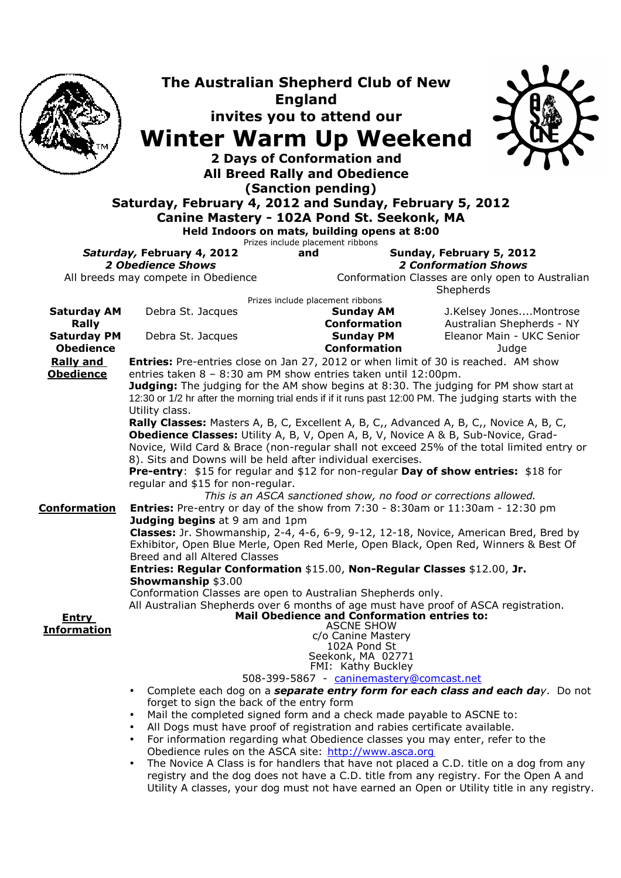|                                                             | <b>Winter Warm Up Weekend</b><br>Saturday, February 4, 2012 and Sunday, February 5, 2012<br>Canine Mastery - 102A Pond St. Seekonk, MA                                                                                                                                                                                                                                                                                                                                                                                                                                                                                                                                                                                                                                                                                                                                                                                                                                                                              | The Australian Shepherd Club of New<br><b>England</b><br>invites you to attend our<br><b>2 Days of Conformation and</b><br><b>All Breed Rally and Obedience</b><br>(Sanction pending)<br>Held Indoors on mats, building opens at 8:00<br>Prizes include placement ribbons |                                                                                                                                                                                                                                                                                                                                                                 |  |
|-------------------------------------------------------------|---------------------------------------------------------------------------------------------------------------------------------------------------------------------------------------------------------------------------------------------------------------------------------------------------------------------------------------------------------------------------------------------------------------------------------------------------------------------------------------------------------------------------------------------------------------------------------------------------------------------------------------------------------------------------------------------------------------------------------------------------------------------------------------------------------------------------------------------------------------------------------------------------------------------------------------------------------------------------------------------------------------------|---------------------------------------------------------------------------------------------------------------------------------------------------------------------------------------------------------------------------------------------------------------------------|-----------------------------------------------------------------------------------------------------------------------------------------------------------------------------------------------------------------------------------------------------------------------------------------------------------------------------------------------------------------|--|
|                                                             | Saturday, February 4, 2012<br>and<br><b>2 Obedience Shows</b>                                                                                                                                                                                                                                                                                                                                                                                                                                                                                                                                                                                                                                                                                                                                                                                                                                                                                                                                                       |                                                                                                                                                                                                                                                                           | Sunday, February 5, 2012<br><b>2 Conformation Shows</b>                                                                                                                                                                                                                                                                                                         |  |
| All breeds may compete in Obedience                         |                                                                                                                                                                                                                                                                                                                                                                                                                                                                                                                                                                                                                                                                                                                                                                                                                                                                                                                                                                                                                     |                                                                                                                                                                                                                                                                           | Conformation Classes are only open to Australian<br>Shepherds                                                                                                                                                                                                                                                                                                   |  |
| <b>Saturday AM</b><br><b>Rally</b><br><b>Saturday PM</b>    | Debra St. Jacques<br>Debra St. Jacques                                                                                                                                                                                                                                                                                                                                                                                                                                                                                                                                                                                                                                                                                                                                                                                                                                                                                                                                                                              | Prizes include placement ribbons<br><b>Sunday AM</b><br><b>Conformation</b><br><b>Sunday PM</b>                                                                                                                                                                           | J.Kelsey JonesMontrose<br>Australian Shepherds - NY<br>Eleanor Main - UKC Senior                                                                                                                                                                                                                                                                                |  |
| <b>Obedience</b>                                            |                                                                                                                                                                                                                                                                                                                                                                                                                                                                                                                                                                                                                                                                                                                                                                                                                                                                                                                                                                                                                     | <b>Conformation</b>                                                                                                                                                                                                                                                       | Judge                                                                                                                                                                                                                                                                                                                                                           |  |
| <b>Rally and</b><br><b>Obedience</b><br><b>Conformation</b> | Entries: Pre-entries close on Jan 27, 2012 or when limit of 30 is reached. AM show<br>entries taken 8 - 8:30 am PM show entries taken until 12:00pm.<br>Judging: The judging for the AM show begins at 8:30. The judging for PM show start at<br>12:30 or 1/2 hr after the morning trial ends if if it runs past 12:00 PM. The judging starts with the<br>Utility class.<br>Rally Classes: Masters A, B, C, Excellent A, B, C,, Advanced A, B, C,, Novice A, B, C,<br>Obedience Classes: Utility A, B, V, Open A, B, V, Novice A & B, Sub-Novice, Grad-<br>Novice, Wild Card & Brace (non-regular shall not exceed 25% of the total limited entry or<br>8). Sits and Downs will be held after individual exercises.<br>Pre-entry: \$15 for regular and \$12 for non-regular Day of show entries: \$18 for<br>regular and \$15 for non-regular.<br>This is an ASCA sanctioned show, no food or corrections allowed.<br><b>Entries:</b> Pre-entry or day of the show from $7:30 - 8:30$ am or $11:30$ am - $12:30$ pm |                                                                                                                                                                                                                                                                           |                                                                                                                                                                                                                                                                                                                                                                 |  |
| <b>Entry</b>                                                | Judging begins at 9 am and 1pm<br>Classes: Jr. Showmanship, 2-4, 4-6, 6-9, 9-12, 12-18, Novice, American Bred, Bred by<br>Exhibitor, Open Blue Merle, Open Red Merle, Open Black, Open Red, Winners & Best Of<br>Breed and all Altered Classes<br>Entries: Regular Conformation \$15.00, Non-Regular Classes \$12.00, Jr.<br><b>Showmanship \$3.00</b><br>Conformation Classes are open to Australian Shepherds only.<br>All Australian Shepherds over 6 months of age must have proof of ASCA registration.                                                                                                                                                                                                                                                                                                                                                                                                                                                                                                        | <b>Mail Obedience and Conformation entries to:</b>                                                                                                                                                                                                                        |                                                                                                                                                                                                                                                                                                                                                                 |  |
| <b>Information</b>                                          | $\bullet$<br>forget to sign the back of the entry form<br>Mail the completed signed form and a check made payable to ASCNE to:<br>$\bullet$<br>All Dogs must have proof of registration and rabies certificate available.<br>$\bullet$<br>For information regarding what Obedience classes you may enter, refer to the<br>$\bullet$<br>Obedience rules on the ASCA site: http://www.asca.org<br>$\bullet$                                                                                                                                                                                                                                                                                                                                                                                                                                                                                                                                                                                                           | <b>ASCNE SHOW</b><br>c/o Canine Mastery<br>102A Pond St<br>Seekonk, MA 02771<br>FMI: Kathy Buckley<br>508-399-5867 - caninemastery@comcast.net                                                                                                                            | Complete each dog on a separate entry form for each class and each day. Do not<br>The Novice A Class is for handlers that have not placed a C.D. title on a dog from any<br>registry and the dog does not have a C.D. title from any registry. For the Open A and<br>Utility A classes, your dog must not have earned an Open or Utility title in any registry. |  |